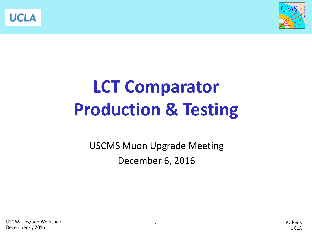



# **LCT Comparator Production & Testing**

USCMS Muon Upgrade Meeting December 6, 2016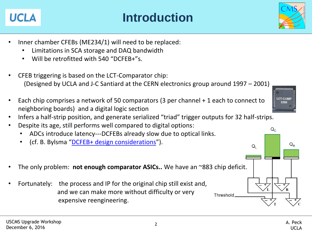#### **Introduction**

- Inner chamber CFEBs (ME234/1) will need to be replaced:
	- Limitations in SCA storage and DAQ bandwidth
	- Will be retrofitted with 540 "DCFEB+"s.
- CFEB triggering is based on the LCT-Comparator chip: (Designed by UCLA and J-C Santiard at the CERN electronics group around 1997 – 2001)
- Each chip comprises a network of 50 comparators (3 per channel + 1 each to connect to neighboring boards) and a digital logic section
- Infers a half-strip position, and generate serialized "triad" trigger outputs for 32 half-strips.
- Despite its age, still performs well compared to digital options:
	- ADCs introduce latency---DCFEBs already slow due to optical links.
	- (cf. B. Bylsma "[DCFEB+ design considerations](https://indico.cern.ch/event/330746/session/0/contribution/1)").
- The only problem: **not enough comparator ASICs..** We have an ~883 chip deficit.
- Fortunately: the process and IP for the original chip still exist and, and we can make more without difficulty or very expensive reengineering.







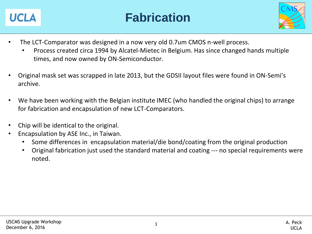



- The LCT-Comparator was designed in a now very old 0.7um CMOS n-well process.
	- Process created circa 1994 by Alcatel-Mietec in Belgium. Has since changed hands multiple times, and now owned by ON-Semiconductor.
- Original mask set was scrapped in late 2013, but the GDSII layout files were found in ON-Semi's archive.
- We have been working with the Belgian institute IMEC (who handled the original chips) to arrange for fabrication and encapsulation of new LCT-Comparators.
- Chip will be identical to the original.
- Encapsulation by ASE Inc., in Taiwan.
	- Some differences in encapsulation material/die bond/coating from the original production
	- Original fabrication just used the standard material and coating --- no special requirements were noted.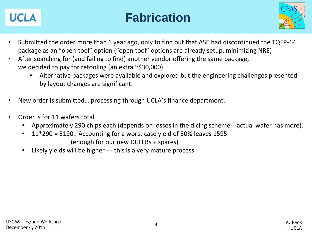

#### **Fabrication**



- Submitted the order more than 1 year ago, only to find out that ASE had discontinued the TQFP-64 package as an "open-tool" option ("open tool" options are already setup, minimizing NRE)
- After searching for (and failing to find) another vendor offering the same package, we decided to pay for retooling (an extra ~\$30,000).
	- Alternative packages were available and explored but the engineering challenges presented by layout changes are significant.
- New order is submitted… processing through UCLA's finance department.
- Order is for 11 wafers total
	- Approximately 290 chips each (depends on losses in the dicing scheme---actual wafer has more).
	- 11\*290 = 3190.. Accounting for a worst case yield of 50% leaves 1595 (enough for our new DCFEBs + spares)
	- Likely yields will be higher --- this is a very mature process.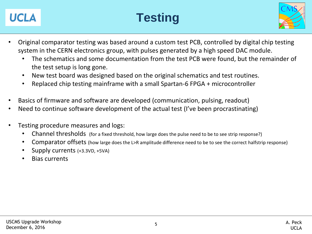

## **Testing**



- Original comparator testing was based around a custom test PCB, controlled by digital chip testing system in the CERN electronics group, with pulses generated by a high speed DAC module.
	- The schematics and some documentation from the test PCB were found, but the remainder of the test setup is long gone.
	- New test board was designed based on the original schematics and test routines.
	- Replaced chip testing mainframe with a small Spartan-6 FPGA + microcontroller
- Basics of firmware and software are developed (communication, pulsing, readout)
- Need to continue software development of the actual test (I've been procrastinating)
- Testing procedure measures and logs:
	- Channel thresholds (for a fixed threshold, how large does the pulse need to be to see strip response?)
	- Comparator offsets (how large does the L>R amplitude difference need to be to see the correct halfstrip response)
	- Supply currents (+3.3VD, +5VA)
	- Bias currents